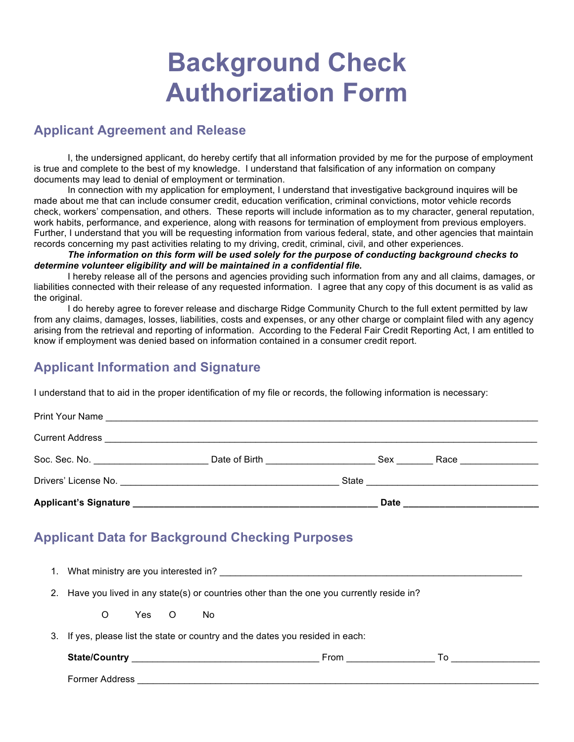## **Background Check Authorization Form**

## **Applicant Agreement and Release**

I, the undersigned applicant, do hereby certify that all information provided by me for the purpose of employment is true and complete to the best of my knowledge. I understand that falsification of any information on company documents may lead to denial of employment or termination.

In connection with my application for employment, I understand that investigative background inquires will be made about me that can include consumer credit, education verification, criminal convictions, motor vehicle records check, workers' compensation, and others. These reports will include information as to my character, general reputation, work habits, performance, and experience, along with reasons for termination of employment from previous employers. Further, I understand that you will be requesting information from various federal, state, and other agencies that maintain records concerning my past activities relating to my driving, credit, criminal, civil, and other experiences.

*The information on this form will be used solely for the purpose of conducting background checks to determine volunteer eligibility and will be maintained in a confidential file.*

I hereby release all of the persons and agencies providing such information from any and all claims, damages, or liabilities connected with their release of any requested information. I agree that any copy of this document is as valid as the original.

I do hereby agree to forever release and discharge Ridge Community Church to the full extent permitted by law from any claims, damages, losses, liabilities, costs and expenses, or any other charge or complaint filed with any agency arising from the retrieval and reporting of information. According to the Federal Fair Credit Reporting Act, I am entitled to know if employment was denied based on information contained in a consumer credit report.

## **Applicant Information and Signature**

I understand that to aid in the proper identification of my file or records, the following information is necessary:

| <b>Applicant's Signature</b>          |                                 | <b>Date</b> |                       |  |
|---------------------------------------|---------------------------------|-------------|-----------------------|--|
|                                       |                                 |             |                       |  |
| Soc. Sec. No. _______________________ | Date of Birth <u>__________</u> | Sex         | Race ________________ |  |
|                                       |                                 |             |                       |  |
| Print Your Name                       |                                 |             |                       |  |

## **Applicant Data for Background Checking Purposes**

| 1. | What ministry are you interested in? The state of the state of the state of the state of the state of the state of the state of the state of the state of the state of the state of the state of the state of the state of the |
|----|--------------------------------------------------------------------------------------------------------------------------------------------------------------------------------------------------------------------------------|
|    | 2. Have you lived in any state(s) or countries other than the one you currently reside in?                                                                                                                                     |
|    | Yes O<br>No.<br>O                                                                                                                                                                                                              |
| З. | If yes, please list the state or country and the dates you resided in each:                                                                                                                                                    |
|    | From <u>__________</u>                                                                                                                                                                                                         |
|    | Former Address                                                                                                                                                                                                                 |